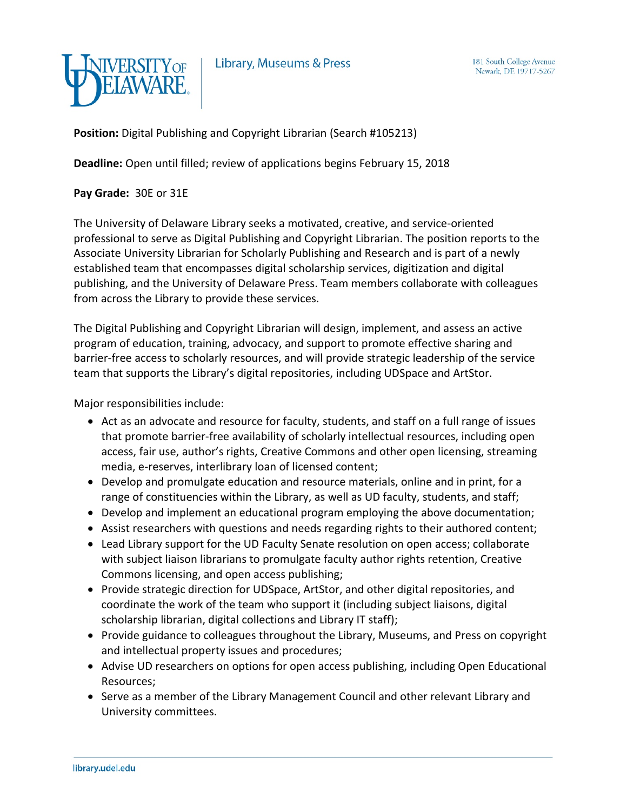

Library, Museums & Press

**Position:** Digital Publishing and Copyright Librarian (Search #105213)

**Deadline:** Open until filled; review of applications begins February 15, 2018

**Pay Grade:** 30E or 31E

The University of Delaware Library seeks a motivated, creative, and service-oriented professional to serve as Digital Publishing and Copyright Librarian. The position reports to the Associate University Librarian for Scholarly Publishing and Research and is part of a newly established team that encompasses digital scholarship services, digitization and digital publishing, and the University of Delaware Press. Team members collaborate with colleagues from across the Library to provide these services.

The Digital Publishing and Copyright Librarian will design, implement, and assess an active program of education, training, advocacy, and support to promote effective sharing and barrier-free access to scholarly resources, and will provide strategic leadership of the service team that supports the Library's digital repositories, including UDSpace and ArtStor.

Major responsibilities include:

- Act as an advocate and resource for faculty, students, and staff on a full range of issues that promote barrier-free availability of scholarly intellectual resources, including open access, fair use, author's rights, Creative Commons and other open licensing, streaming media, e-reserves, interlibrary loan of licensed content;
- Develop and promulgate education and resource materials, online and in print, for a range of constituencies within the Library, as well as UD faculty, students, and staff;
- Develop and implement an educational program employing the above documentation;
- Assist researchers with questions and needs regarding rights to their authored content;
- Lead Library support for the UD Faculty Senate resolution on open access; collaborate with subject liaison librarians to promulgate faculty author rights retention, Creative Commons licensing, and open access publishing;
- Provide strategic direction for UDSpace, ArtStor, and other digital repositories, and coordinate the work of the team who support it (including subject liaisons, digital scholarship librarian, digital collections and Library IT staff);
- Provide guidance to colleagues throughout the Library, Museums, and Press on copyright and intellectual property issues and procedures;
- Advise UD researchers on options for open access publishing, including Open Educational Resources;
- Serve as a member of the Library Management Council and other relevant Library and University committees.